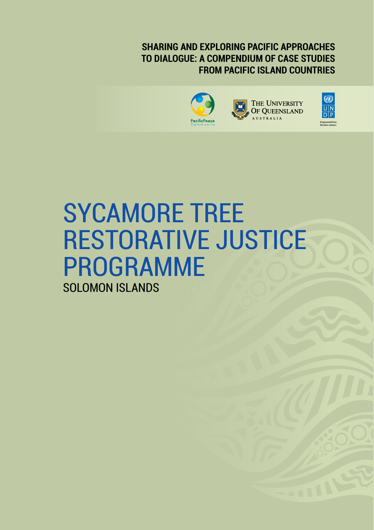#### **SHARING AND EXPLORING PACIFIC APPROACHES TO DIALOGUE: A COMPENDIUM OF CASE STUDIES FROM PACIFIC ISLAND COUNTRIES**



## **SYCAMORE TREE** RESTORATIVE JUSTICE **PROGRAMME** Solomon Islands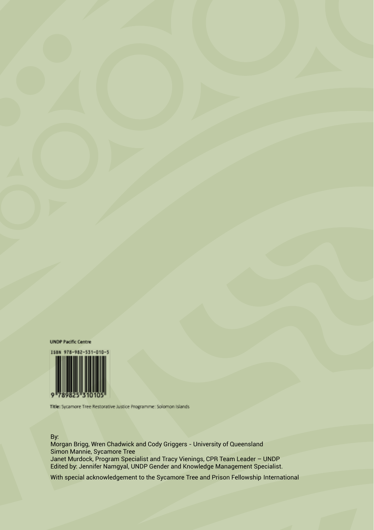**UNDP Pacific Centre** 



Title: Sycamore Tree Restorative Justice Programme: Solomon Islands

#### By:

Morgan Brigg, Wren Chadwick and Cody Griggers - University of Queensland Simon Mannie, Sycamore Tree Janet Murdock, Program Specialist and Tracy Vienings, CPR Team Leader – UNDP

Edited by: Jennifer Namgyal, UNDP Gender and Knowledge Management Specialist.

With special acknowledgement to the Sycamore Tree and Prison Fellowship International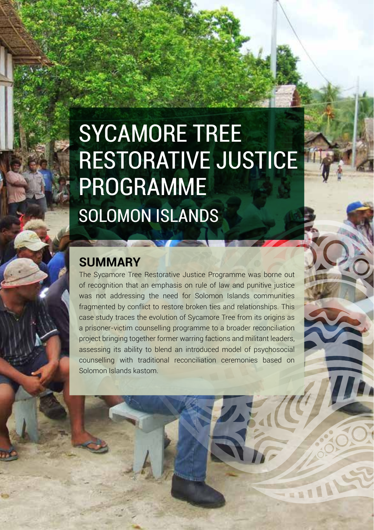# SYCAMORE TREE Restorative Justice **PROGRAMME** Solomon Islands

### **Summary**

The Sycamore Tree Restorative Justice Programme was borne out of recognition that an emphasis on rule of law and punitive justice was not addressing the need for Solomon Islands communities fragmented by conflict to restore broken ties and relationships. This case study traces the evolution of Sycamore Tree from its origins as a prisoner-victim counselling programme to a broader reconciliation project bringing together former warring factions and militant leaders, assessing its ability to blend an introduced model of psychosocial counselling with traditional reconciliation ceremonies based on Solomon Islands kastom.

sycamore T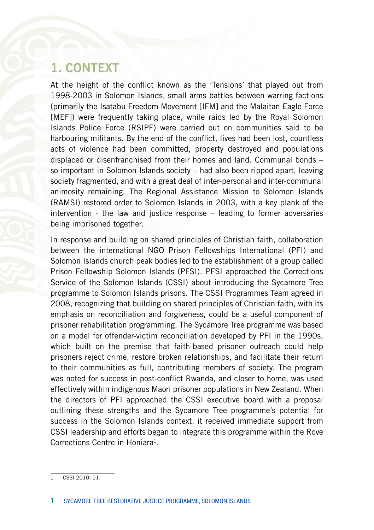## **1. CONTEXT**

At the height of the conflict known as the 'Tensions' that played out from 1998-2003 in Solomon Islands, small arms battles between warring factions (primarily the Isatabu Freedom Movement [IFM] and the Malaitan Eagle Force [MEF]) were frequently taking place, while raids led by the Royal Solomon Islands Police Force (RSIPF) were carried out on communities said to be harbouring militants. By the end of the conflict, lives had been lost, countless acts of violence had been committed, property destroyed and populations displaced or disenfranchised from their homes and land. Communal bonds – so important in Solomon Islands society – had also been ripped apart, leaving society fragmented, and with a great deal of inter-personal and inter-communal animosity remaining. The Regional Assistance Mission to Solomon Islands (RAMSI) restored order to Solomon Islands in 2003, with a key plank of the intervention - the law and justice response – leading to former adversaries being imprisoned together.

In response and building on shared principles of Christian faith, collaboration between the international NGO Prison Fellowships International (PFI) and Solomon Islands church peak bodies led to the establishment of a group called Prison Fellowship Solomon Islands (PFSI). PFSI approached the Corrections Service of the Solomon Islands (CSSI) about introducing the Sycamore Tree programme to Solomon Islands prisons. The CSSI Programmes Team agreed in 2008, recognizing that building on shared principles of Christian faith, with its emphasis on reconciliation and forgiveness, could be a useful component of prisoner rehabilitation programming. The Sycamore Tree programme was based on a model for offender-victim reconciliation developed by PFI in the 1990s, which built on the premise that faith-based prisoner outreach could help prisoners reject crime, restore broken relationships, and facilitate their return to their communities as full, contributing members of society. The program was noted for success in post-conflict Rwanda, and closer to home, was used effectively within indigenous Maori prisoner populations in New Zealand. When the directors of PFI approached the CSSI executive board with a proposal outlining these strengths and the Sycamore Tree programme's potential for success in the Solomon Islands context, it received immediate support from CSSI leadership and efforts began to integrate this programme within the Rove Corrections Centre in Honiara1.

<sup>1</sup> CSSI 2010, 11.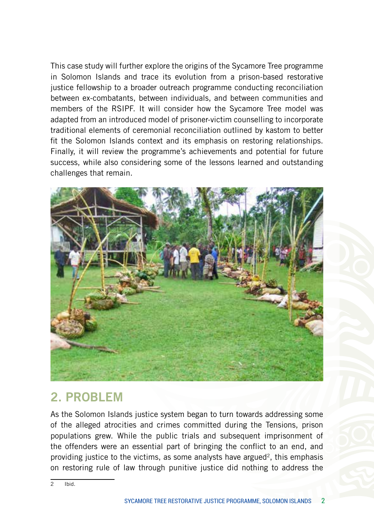This case study will further explore the origins of the Sycamore Tree programme in Solomon Islands and trace its evolution from a prison-based restorative justice fellowship to a broader outreach programme conducting reconciliation between ex-combatants, between individuals, and between communities and members of the RSIPF. It will consider how the Sycamore Tree model was adapted from an introduced model of prisoner-victim counselling to incorporate traditional elements of ceremonial reconciliation outlined by kastom to better fit the Solomon Islands context and its emphasis on restoring relationships. Finally, it will review the programme's achievements and potential for future success, while also considering some of the lessons learned and outstanding challenges that remain.



## **2. PROBLEM**

As the Solomon Islands justice system began to turn towards addressing some of the alleged atrocities and crimes committed during the Tensions, prison populations grew. While the public trials and subsequent imprisonment of the offenders were an essential part of bringing the conflict to an end, and providing justice to the victims, as some analysts have argued<sup>2</sup>, this emphasis on restoring rule of law through punitive justice did nothing to address the

<sup>2</sup> Ibid.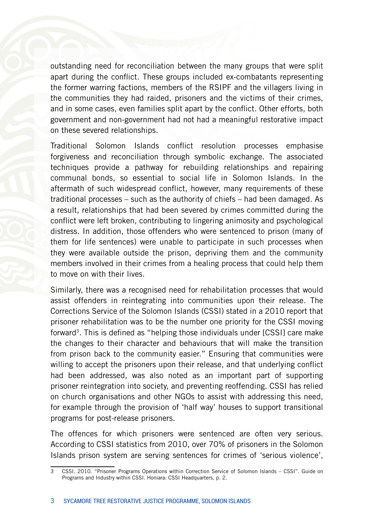outstanding need for reconciliation between the many groups that were split apart during the conflict. These groups included ex-combatants representing the former warring factions, members of the RSIPF and the villagers living in the communities they had raided, prisoners and the victims of their crimes, and in some cases, even families split apart by the conflict. Other efforts, both government and non-government had not had a meaningful restorative impact on these severed relationships.

Traditional Solomon Islands conflict resolution processes emphasise forgiveness and reconciliation through symbolic exchange. The associated techniques provide a pathway for rebuilding relationships and repairing communal bonds, so essential to social life in Solomon Islands. In the aftermath of such widespread conflict, however, many requirements of these traditional processes – such as the authority of chiefs – had been damaged. As a result, relationships that had been severed by crimes committed during the conflict were left broken, contributing to lingering animosity and psychological distress. In addition, those offenders who were sentenced to prison (many of them for life sentences) were unable to participate in such processes when they were available outside the prison, depriving them and the community members involved in their crimes from a healing process that could help them to move on with their lives.

Similarly, there was a recognised need for rehabilitation processes that would assist offenders in reintegrating into communities upon their release. The Corrections Service of the Solomon Islands (CSSI) stated in a 2010 report that prisoner rehabilitation was to be the number one priority for the CSSI moving forward<sup>3</sup>. This is defined as "helping those individuals under ICSSII care make the changes to their character and behaviours that will make the transition from prison back to the community easier." Ensuring that communities were willing to accept the prisoners upon their release, and that underlying conflict had been addressed, was also noted as an important part of supporting prisoner reintegration into society, and preventing reoffending. CSSI has relied on church organisations and other NGOs to assist with addressing this need, for example through the provision of 'half way' houses to support transitional programs for post-release prisoners.

The offences for which prisoners were sentenced are often very serious. According to CSSI statistics from 2010, over 70% of prisoners in the Solomon Islands prison system are serving sentences for crimes of 'serious violence',

<sup>3</sup> CSSI. 2010. "Prisoner Programs Operations within Correction Service of Solomon Islands – CSSI". Guide on Programs and Industry within CSSI. Honiara: CSSI Headquarters, p. 2.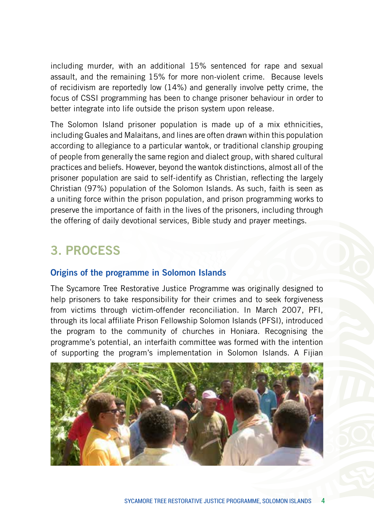including murder, with an additional 15% sentenced for rape and sexual assault, and the remaining 15% for more non-violent crime. Because levels of recidivism are reportedly low (14%) and generally involve petty crime, the focus of CSSI programming has been to change prisoner behaviour in order to better integrate into life outside the prison system upon release.

The Solomon Island prisoner population is made up of a mix ethnicities, including Guales and Malaitans, and lines are often drawn within this population according to allegiance to a particular wantok, or traditional clanship grouping of people from generally the same region and dialect group, with shared cultural practices and beliefs. However, beyond the wantok distinctions, almost all of the prisoner population are said to self-identify as Christian, reflecting the largely Christian (97%) population of the Solomon Islands. As such, faith is seen as a uniting force within the prison population, and prison programming works to preserve the importance of faith in the lives of the prisoners, including through the offering of daily devotional services, Bible study and prayer meetings.

## **3. PROCESS**

#### **Origins of the programme in Solomon Islands**

The Sycamore Tree Restorative Justice Programme was originally designed to help prisoners to take responsibility for their crimes and to seek forgiveness from victims through victim-offender reconciliation. In March 2007, PFI, through its local affiliate Prison Fellowship Solomon Islands (PFSI), introduced the program to the community of churches in Honiara. Recognising the programme's potential, an interfaith committee was formed with the intention of supporting the program's implementation in Solomon Islands. A Fijian

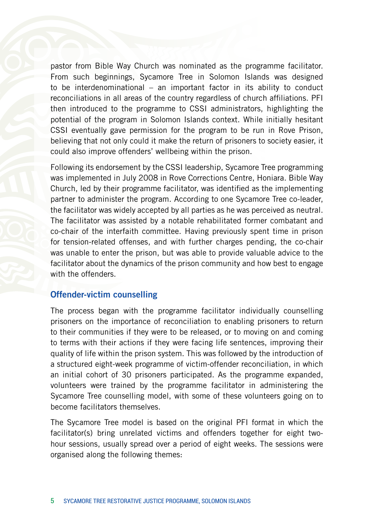pastor from Bible Way Church was nominated as the programme facilitator. From such beginnings, Sycamore Tree in Solomon Islands was designed to be interdenominational – an important factor in its ability to conduct reconciliations in all areas of the country regardless of church affiliations. PFI then introduced to the programme to CSSI administrators, highlighting the potential of the program in Solomon Islands context. While initially hesitant CSSI eventually gave permission for the program to be run in Rove Prison, believing that not only could it make the return of prisoners to society easier, it could also improve offenders' wellbeing within the prison.

Following its endorsement by the CSSI leadership, Sycamore Tree programming was implemented in July 2008 in Rove Corrections Centre, Honiara. Bible Way Church, led by their programme facilitator, was identified as the implementing partner to administer the program. According to one Sycamore Tree co-leader, the facilitator was widely accepted by all parties as he was perceived as neutral. The facilitator was assisted by a notable rehabilitated former combatant and co-chair of the interfaith committee. Having previously spent time in prison for tension-related offenses, and with further charges pending, the co-chair was unable to enter the prison, but was able to provide valuable advice to the facilitator about the dynamics of the prison community and how best to engage with the offenders.

#### **Offender-victim counselling**

The process began with the programme facilitator individually counselling prisoners on the importance of reconciliation to enabling prisoners to return to their communities if they were to be released, or to moving on and coming to terms with their actions if they were facing life sentences, improving their quality of life within the prison system. This was followed by the introduction of a structured eight-week programme of victim-offender reconciliation, in which an initial cohort of 30 prisoners participated. As the programme expanded, volunteers were trained by the programme facilitator in administering the Sycamore Tree counselling model, with some of these volunteers going on to become facilitators themselves.

The Sycamore Tree model is based on the original PFI format in which the facilitator(s) bring unrelated victims and offenders together for eight twohour sessions, usually spread over a period of eight weeks. The sessions were organised along the following themes: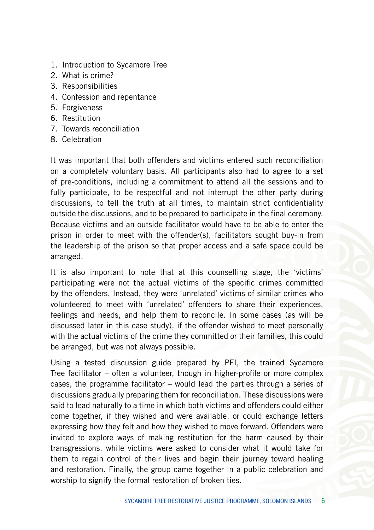- 1. Introduction to Sycamore Tree
- 2. What is crime?
- 3. Responsibilities
- 4. Confession and repentance
- 5. Forgiveness
- 6. Restitution
- 7. Towards reconciliation
- 8. Celebration

It was important that both offenders and victims entered such reconciliation on a completely voluntary basis. All participants also had to agree to a set of pre-conditions, including a commitment to attend all the sessions and to fully participate, to be respectful and not interrupt the other party during discussions, to tell the truth at all times, to maintain strict confidentiality outside the discussions, and to be prepared to participate in the final ceremony. Because victims and an outside facilitator would have to be able to enter the prison in order to meet with the offender(s), facilitators sought buy-in from the leadership of the prison so that proper access and a safe space could be arranged.

It is also important to note that at this counselling stage, the 'victims' participating were not the actual victims of the specific crimes committed by the offenders. Instead, they were 'unrelated' victims of similar crimes who volunteered to meet with 'unrelated' offenders to share their experiences, feelings and needs, and help them to reconcile. In some cases (as will be discussed later in this case study), if the offender wished to meet personally with the actual victims of the crime they committed or their families, this could be arranged, but was not always possible.

Using a tested discussion guide prepared by PFI, the trained Sycamore Tree facilitator – often a volunteer, though in higher-profile or more complex cases, the programme facilitator – would lead the parties through a series of discussions gradually preparing them for reconciliation. These discussions were said to lead naturally to a time in which both victims and offenders could either come together, if they wished and were available, or could exchange letters expressing how they felt and how they wished to move forward. Offenders were invited to explore ways of making restitution for the harm caused by their transgressions, while victims were asked to consider what it would take for them to regain control of their lives and begin their journey toward healing and restoration. Finally, the group came together in a public celebration and worship to signify the formal restoration of broken ties.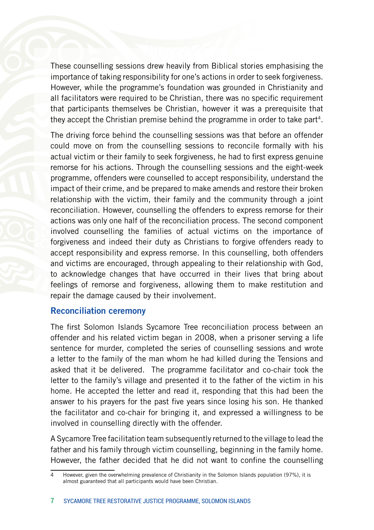These counselling sessions drew heavily from Biblical stories emphasising the importance of taking responsibility for one's actions in order to seek forgiveness. However, while the programme's foundation was grounded in Christianity and all facilitators were required to be Christian, there was no specific requirement that participants themselves be Christian, however it was a prerequisite that they accept the Christian premise behind the programme in order to take part4.

The driving force behind the counselling sessions was that before an offender could move on from the counselling sessions to reconcile formally with his actual victim or their family to seek forgiveness, he had to first express genuine remorse for his actions. Through the counselling sessions and the eight-week programme, offenders were counselled to accept responsibility, understand the impact of their crime, and be prepared to make amends and restore their broken relationship with the victim, their family and the community through a joint reconciliation. However, counselling the offenders to express remorse for their actions was only one half of the reconciliation process. The second component involved counselling the families of actual victims on the importance of forgiveness and indeed their duty as Christians to forgive offenders ready to accept responsibility and express remorse. In this counselling, both offenders and victims are encouraged, through appealing to their relationship with God, to acknowledge changes that have occurred in their lives that bring about feelings of remorse and forgiveness, allowing them to make restitution and repair the damage caused by their involvement.

#### **Reconciliation ceremony**

The first Solomon Islands Sycamore Tree reconciliation process between an offender and his related victim began in 2008, when a prisoner serving a life sentence for murder, completed the series of counselling sessions and wrote a letter to the family of the man whom he had killed during the Tensions and asked that it be delivered. The programme facilitator and co-chair took the letter to the family's village and presented it to the father of the victim in his home. He accepted the letter and read it, responding that this had been the answer to his prayers for the past five years since losing his son. He thanked the facilitator and co-chair for bringing it, and expressed a willingness to be involved in counselling directly with the offender.

A Sycamore Tree facilitation team subsequently returned to the village to lead the father and his family through victim counselling, beginning in the family home. However, the father decided that he did not want to confine the counselling

<sup>4</sup> However, given the overwhelming prevalence of Christianity in the Solomon Islands population (97%), it is almost guaranteed that all participants would have been Christian.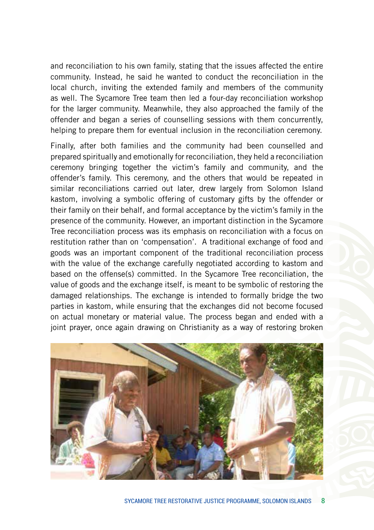and reconciliation to his own family, stating that the issues affected the entire community. Instead, he said he wanted to conduct the reconciliation in the local church, inviting the extended family and members of the community as well. The Sycamore Tree team then led a four-day reconciliation workshop for the larger community. Meanwhile, they also approached the family of the offender and began a series of counselling sessions with them concurrently, helping to prepare them for eventual inclusion in the reconciliation ceremony.

Finally, after both families and the community had been counselled and prepared spiritually and emotionally for reconciliation, they held a reconciliation ceremony bringing together the victim's family and community, and the offender's family. This ceremony, and the others that would be repeated in similar reconciliations carried out later, drew largely from Solomon Island kastom, involving a symbolic offering of customary gifts by the offender or their family on their behalf, and formal acceptance by the victim's family in the presence of the community. However, an important distinction in the Sycamore Tree reconciliation process was its emphasis on reconciliation with a focus on restitution rather than on 'compensation'. A traditional exchange of food and goods was an important component of the traditional reconciliation process with the value of the exchange carefully negotiated according to kastom and based on the offense(s) committed. In the Sycamore Tree reconciliation, the value of goods and the exchange itself, is meant to be symbolic of restoring the damaged relationships. The exchange is intended to formally bridge the two parties in kastom, while ensuring that the exchanges did not become focused on actual monetary or material value. The process began and ended with a joint prayer, once again drawing on Christianity as a way of restoring broken

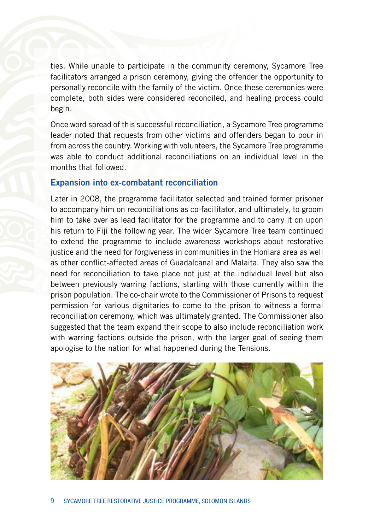ties. While unable to participate in the community ceremony, Sycamore Tree facilitators arranged a prison ceremony, giving the offender the opportunity to personally reconcile with the family of the victim. Once these ceremonies were complete, both sides were considered reconciled, and healing process could begin.

Once word spread of this successful reconciliation, a Sycamore Tree programme leader noted that requests from other victims and offenders began to pour in from across the country. Working with volunteers, the Sycamore Tree programme was able to conduct additional reconciliations on an individual level in the months that followed.

#### **Expansion into ex-combatant reconciliation**

Later in 2008, the programme facilitator selected and trained former prisoner to accompany him on reconciliations as co-facilitator, and ultimately, to groom him to take over as lead facilitator for the programme and to carry it on upon his return to Fiji the following year. The wider Sycamore Tree team continued to extend the programme to include awareness workshops about restorative justice and the need for forgiveness in communities in the Honiara area as well as other conflict-affected areas of Guadalcanal and Malaita. They also saw the need for reconciliation to take place not just at the individual level but also between previously warring factions, starting with those currently within the prison population. The co-chair wrote to the Commissioner of Prisons to request permission for various dignitaries to come to the prison to witness a formal reconciliation ceremony, which was ultimately granted. The Commissioner also suggested that the team expand their scope to also include reconciliation work with warring factions outside the prison, with the larger goal of seeing them apologise to the nation for what happened during the Tensions.

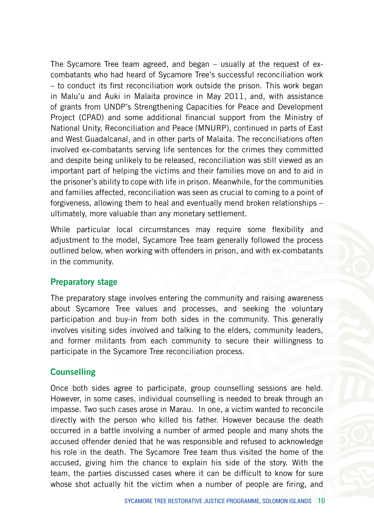The Sycamore Tree team agreed, and began – usually at the request of excombatants who had heard of Sycamore Tree's successful reconciliation work – to conduct its first reconciliation work outside the prison. This work began in Malu'u and Auki in Malaita province in May 2011, and, with assistance of grants from UNDP's Strengthening Capacities for Peace and Development Project (CPAD) and some additional financial support from the Ministry of National Unity, Reconciliation and Peace (MNURP), continued in parts of East and West Guadalcanal, and in other parts of Malaita. The reconciliations often involved ex-combatants serving life sentences for the crimes they committed and despite being unlikely to be released, reconciliation was still viewed as an important part of helping the victims and their families move on and to aid in the prisoner's ability to cope with life in prison. Meanwhile, for the communities and families affected, reconciliation was seen as crucial to coming to a point of forgiveness, allowing them to heal and eventually mend broken relationships – ultimately, more valuable than any monetary settlement.

While particular local circumstances may require some flexibility and adjustment to the model, Sycamore Tree team generally followed the process outlined below, when working with offenders in prison, and with ex-combatants in the community.

#### **Preparatory stage**

The preparatory stage involves entering the community and raising awareness about Sycamore Tree values and processes, and seeking the voluntary participation and buy-in from both sides in the community. This generally involves visiting sides involved and talking to the elders, community leaders, and former militants from each community to secure their willingness to participate in the Sycamore Tree reconciliation process.

#### **Counselling**

Once both sides agree to participate, group counselling sessions are held. However, in some cases, individual counselling is needed to break through an impasse. Two such cases arose in Marau. In one, a victim wanted to reconcile directly with the person who killed his father. However because the death occurred in a battle involving a number of armed people and many shots the accused offender denied that he was responsible and refused to acknowledge his role in the death. The Sycamore Tree team thus visited the home of the accused, giving him the chance to explain his side of the story. With the team, the parties discussed cases where it can be difficult to know for sure whose shot actually hit the victim when a number of people are firing, and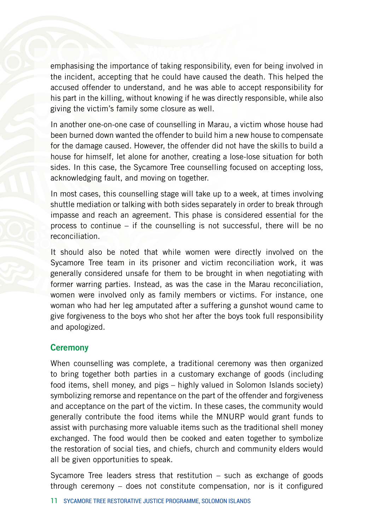emphasising the importance of taking responsibility, even for being involved in the incident, accepting that he could have caused the death. This helped the accused offender to understand, and he was able to accept responsibility for his part in the killing, without knowing if he was directly responsible, while also giving the victim's family some closure as well.

In another one-on-one case of counselling in Marau, a victim whose house had been burned down wanted the offender to build him a new house to compensate for the damage caused. However, the offender did not have the skills to build a house for himself, let alone for another, creating a lose-lose situation for both sides. In this case, the Sycamore Tree counselling focused on accepting loss, acknowledging fault, and moving on together.

In most cases, this counselling stage will take up to a week, at times involving shuttle mediation or talking with both sides separately in order to break through impasse and reach an agreement. This phase is considered essential for the process to continue – if the counselling is not successful, there will be no reconciliation.

It should also be noted that while women were directly involved on the Sycamore Tree team in its prisoner and victim reconciliation work, it was generally considered unsafe for them to be brought in when negotiating with former warring parties. Instead, as was the case in the Marau reconciliation, women were involved only as family members or victims. For instance, one woman who had her leg amputated after a suffering a gunshot wound came to give forgiveness to the boys who shot her after the boys took full responsibility and apologized.

#### **Ceremony**

When counselling was complete, a traditional ceremony was then organized to bring together both parties in a customary exchange of goods (including food items, shell money, and pigs – highly valued in Solomon Islands society) symbolizing remorse and repentance on the part of the offender and forgiveness and acceptance on the part of the victim. In these cases, the community would generally contribute the food items while the MNURP would grant funds to assist with purchasing more valuable items such as the traditional shell money exchanged. The food would then be cooked and eaten together to symbolize the restoration of social ties, and chiefs, church and community elders would all be given opportunities to speak.

Sycamore Tree leaders stress that restitution – such as exchange of goods through ceremony – does not constitute compensation, nor is it configured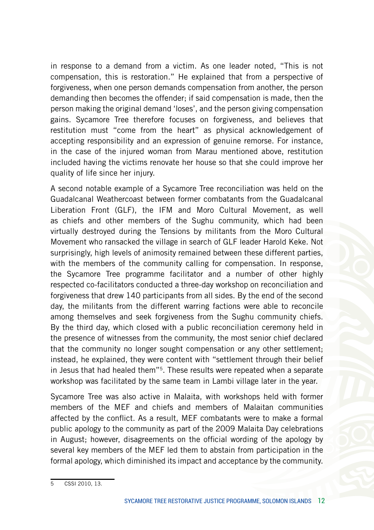in response to a demand from a victim. As one leader noted, "This is not compensation, this is restoration." He explained that from a perspective of forgiveness, when one person demands compensation from another, the person demanding then becomes the offender; if said compensation is made, then the person making the original demand 'loses', and the person giving compensation gains. Sycamore Tree therefore focuses on forgiveness, and believes that restitution must "come from the heart" as physical acknowledgement of accepting responsibility and an expression of genuine remorse. For instance, in the case of the injured woman from Marau mentioned above, restitution included having the victims renovate her house so that she could improve her quality of life since her injury.

A second notable example of a Sycamore Tree reconciliation was held on the Guadalcanal Weathercoast between former combatants from the Guadalcanal Liberation Front (GLF), the IFM and Moro Cultural Movement, as well as chiefs and other members of the Sughu community, which had been virtually destroyed during the Tensions by militants from the Moro Cultural Movement who ransacked the village in search of GLF leader Harold Keke. Not surprisingly, high levels of animosity remained between these different parties, with the members of the community calling for compensation. In response, the Sycamore Tree programme facilitator and a number of other highly respected co-facilitators conducted a three-day workshop on reconciliation and forgiveness that drew 140 participants from all sides. By the end of the second day, the militants from the different warring factions were able to reconcile among themselves and seek forgiveness from the Sughu community chiefs. By the third day, which closed with a public reconciliation ceremony held in the presence of witnesses from the community, the most senior chief declared that the community no longer sought compensation or any other settlement; instead, he explained, they were content with "settlement through their belief in Jesus that had healed them"5. These results were repeated when a separate workshop was facilitated by the same team in Lambi village later in the year.

Sycamore Tree was also active in Malaita, with workshops held with former members of the MEF and chiefs and members of Malaitan communities affected by the conflict. As a result, MEF combatants were to make a formal public apology to the community as part of the 2009 Malaita Day celebrations in August; however, disagreements on the official wording of the apology by several key members of the MEF led them to abstain from participation in the formal apology, which diminished its impact and acceptance by the community.

<sup>5</sup> CSSI 2010, 13.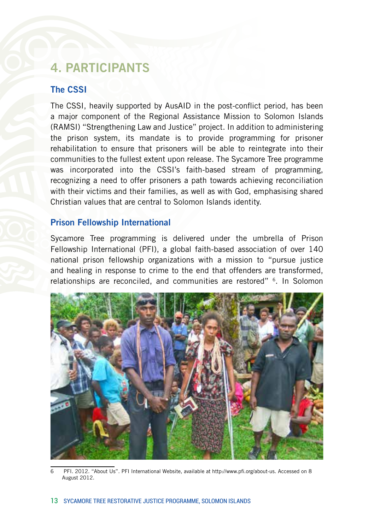## **4. PARTICIPANTS**

#### **The CSSI**

The CSSI, heavily supported by AusAID in the post-conflict period, has been a major component of the Regional Assistance Mission to Solomon Islands (RAMSI) "Strengthening Law and Justice" project. In addition to administering the prison system, its mandate is to provide programming for prisoner rehabilitation to ensure that prisoners will be able to reintegrate into their communities to the fullest extent upon release. The Sycamore Tree programme was incorporated into the CSSI's faith-based stream of programming, recognizing a need to offer prisoners a path towards achieving reconciliation with their victims and their families, as well as with God, emphasising shared Christian values that are central to Solomon Islands identity.

#### **Prison Fellowship International**

Sycamore Tree programming is delivered under the umbrella of Prison Fellowship International (PFI), a global faith-based association of over 140 national prison fellowship organizations with a mission to "pursue justice and healing in response to crime to the end that offenders are transformed, relationships are reconciled, and communities are restored" <sup>6</sup>. In Solomon



6 PFI. 2012. "About Us". PFI International Website, available at http://www.pfi.org/about-us. Accessed on 8 August 2012.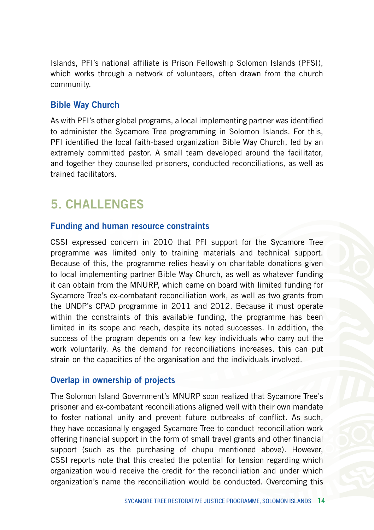Islands, PFI's national affiliate is Prison Fellowship Solomon Islands (PFSI), which works through a network of volunteers, often drawn from the church community.

#### **Bible Way Church**

As with PFI's other global programs, a local implementing partner was identified to administer the Sycamore Tree programming in Solomon Islands. For this, PFI identified the local faith-based organization Bible Way Church, led by an extremely committed pastor. A small team developed around the facilitator, and together they counselled prisoners, conducted reconciliations, as well as trained facilitators.

## **5. CHALLENGES**

#### **Funding and human resource constraints**

CSSI expressed concern in 2010 that PFI support for the Sycamore Tree programme was limited only to training materials and technical support. Because of this, the programme relies heavily on charitable donations given to local implementing partner Bible Way Church, as well as whatever funding it can obtain from the MNURP, which came on board with limited funding for Sycamore Tree's ex-combatant reconciliation work, as well as two grants from the UNDP's CPAD programme in 2011 and 2012. Because it must operate within the constraints of this available funding, the programme has been limited in its scope and reach, despite its noted successes. In addition, the success of the program depends on a few key individuals who carry out the work voluntarily. As the demand for reconciliations increases, this can put strain on the capacities of the organisation and the individuals involved.

#### **Overlap in ownership of projects**

The Solomon Island Government's MNURP soon realized that Sycamore Tree's prisoner and ex-combatant reconciliations aligned well with their own mandate to foster national unity and prevent future outbreaks of conflict. As such, they have occasionally engaged Sycamore Tree to conduct reconciliation work offering financial support in the form of small travel grants and other financial support (such as the purchasing of chupu mentioned above). However, CSSI reports note that this created the potential for tension regarding which organization would receive the credit for the reconciliation and under which organization's name the reconciliation would be conducted. Overcoming this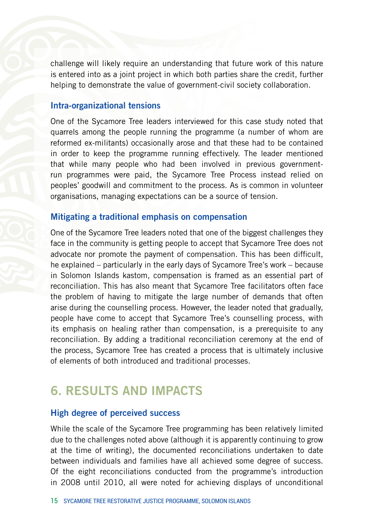challenge will likely require an understanding that future work of this nature is entered into as a joint project in which both parties share the credit, further helping to demonstrate the value of government-civil society collaboration.

#### **Intra-organizational tensions**

One of the Sycamore Tree leaders interviewed for this case study noted that quarrels among the people running the programme (a number of whom are reformed ex-militants) occasionally arose and that these had to be contained in order to keep the programme running effectively. The leader mentioned that while many people who had been involved in previous governmentrun programmes were paid, the Sycamore Tree Process instead relied on peoples' goodwill and commitment to the process. As is common in volunteer organisations, managing expectations can be a source of tension.

#### **Mitigating a traditional emphasis on compensation**

One of the Sycamore Tree leaders noted that one of the biggest challenges they face in the community is getting people to accept that Sycamore Tree does not advocate nor promote the payment of compensation. This has been difficult, he explained – particularly in the early days of Sycamore Tree's work – because in Solomon Islands kastom, compensation is framed as an essential part of reconciliation. This has also meant that Sycamore Tree facilitators often face the problem of having to mitigate the large number of demands that often arise during the counselling process. However, the leader noted that gradually, people have come to accept that Sycamore Tree's counselling process, with its emphasis on healing rather than compensation, is a prerequisite to any reconciliation. By adding a traditional reconciliation ceremony at the end of the process, Sycamore Tree has created a process that is ultimately inclusive of elements of both introduced and traditional processes.

## **6. RESULTS AND IMPACTS**

#### **High degree of perceived success**

While the scale of the Sycamore Tree programming has been relatively limited due to the challenges noted above (although it is apparently continuing to grow at the time of writing), the documented reconciliations undertaken to date between individuals and families have all achieved some degree of success. Of the eight reconciliations conducted from the programme's introduction in 2008 until 2010, all were noted for achieving displays of unconditional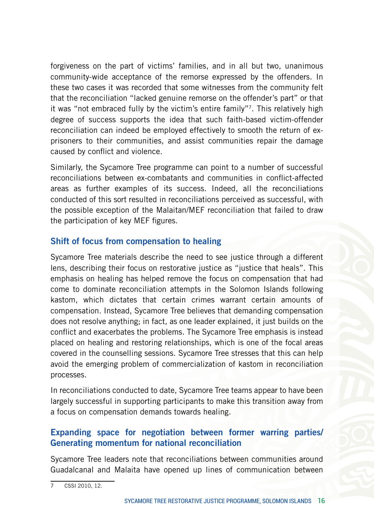forgiveness on the part of victims' families, and in all but two, unanimous community-wide acceptance of the remorse expressed by the offenders. In these two cases it was recorded that some witnesses from the community felt that the reconciliation "lacked genuine remorse on the offender's part" or that it was "not embraced fully by the victim's entire family"7. This relatively high degree of success supports the idea that such faith-based victim-offender reconciliation can indeed be employed effectively to smooth the return of exprisoners to their communities, and assist communities repair the damage caused by conflict and violence.

Similarly, the Sycamore Tree programme can point to a number of successful reconciliations between ex-combatants and communities in conflict-affected areas as further examples of its success. Indeed, all the reconciliations conducted of this sort resulted in reconciliations perceived as successful, with the possible exception of the Malaitan/MEF reconciliation that failed to draw the participation of key MEF figures.

#### **Shift of focus from compensation to healing**

Sycamore Tree materials describe the need to see justice through a different lens, describing their focus on restorative justice as "justice that heals". This emphasis on healing has helped remove the focus on compensation that had come to dominate reconciliation attempts in the Solomon Islands following kastom, which dictates that certain crimes warrant certain amounts of compensation. Instead, Sycamore Tree believes that demanding compensation does not resolve anything; in fact, as one leader explained, it just builds on the conflict and exacerbates the problems. The Sycamore Tree emphasis is instead placed on healing and restoring relationships, which is one of the focal areas covered in the counselling sessions. Sycamore Tree stresses that this can help avoid the emerging problem of commercialization of kastom in reconciliation processes.

In reconciliations conducted to date, Sycamore Tree teams appear to have been largely successful in supporting participants to make this transition away from a focus on compensation demands towards healing.

#### **Expanding space for negotiation between former warring parties/ Generating momentum for national reconciliation**

Sycamore Tree leaders note that reconciliations between communities around Guadalcanal and Malaita have opened up lines of communication between

<sup>7</sup> CSSI 2010, 12.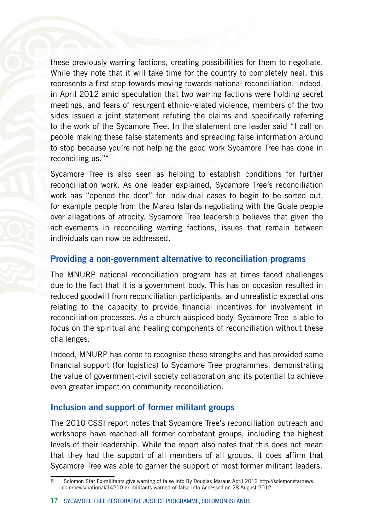these previously warring factions, creating possibilities for them to negotiate. While they note that it will take time for the country to completely heal, this represents a first step towards moving towards national reconciliation. Indeed, in April 2012 amid speculation that two warring factions were holding secret meetings, and fears of resurgent ethnic-related violence, members of the two sides issued a joint statement refuting the claims and specifically referring to the work of the Sycamore Tree. In the statement one leader said "I call on people making these false statements and spreading false information around to stop because you're not helping the good work Sycamore Tree has done in reconciling us."<sup>8</sup>

Sycamore Tree is also seen as helping to establish conditions for further reconciliation work. As one leader explained, Sycamore Tree's reconciliation work has "opened the door" for individual cases to begin to be sorted out, for example people from the Marau Islands negotiating with the Guale people over allegations of atrocity. Sycamore Tree leadership believes that given the achievements in reconciling warring factions, issues that remain between individuals can now be addressed.

#### **Providing a non-government alternative to reconciliation programs**

The MNURP national reconciliation program has at times faced challenges due to the fact that it is a government body. This has on occasion resulted in reduced goodwill from reconciliation participants, and unrealistic expectations relating to the capacity to provide financial incentives for involvement in reconciliation processes. As a church-auspiced body, Sycamore Tree is able to focus on the spiritual and healing components of reconciliation without these challenges.

Indeed, MNURP has come to recognise these strengths and has provided some financial support (for logistics) to Sycamore Tree programmes, demonstrating the value of government-civil society collaboration and its potential to achieve even greater impact on community reconciliation.

#### **Inclusion and support of former militant groups**

The 2010 CSSI report notes that Sycamore Tree's reconciliation outreach and workshops have reached all former combatant groups, including the highest levels of their leadership. While the report also notes that this does not mean that they had the support of all members of all groups, it does affirm that Sycamore Tree was able to garner the support of most former militant leaders.

<sup>8</sup> Solomon Star Ex-militants give warning of false info By Douglas Maraus April 2012 http://solomonstarnews. com/news/national/14210-ex-militants-warned-of-false-info Accessed on 28 August 2012.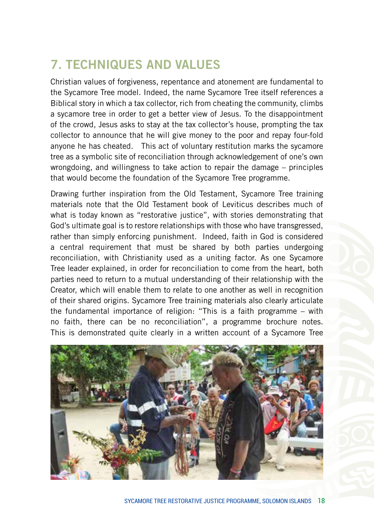## **7. TECHNIQUES AND VALUES**

Christian values of forgiveness, repentance and atonement are fundamental to the Sycamore Tree model. Indeed, the name Sycamore Tree itself references a Biblical story in which a tax collector, rich from cheating the community, climbs a sycamore tree in order to get a better view of Jesus. To the disappointment of the crowd, Jesus asks to stay at the tax collector's house, prompting the tax collector to announce that he will give money to the poor and repay four-fold anyone he has cheated. This act of voluntary restitution marks the sycamore tree as a symbolic site of reconciliation through acknowledgement of one's own wrongdoing, and willingness to take action to repair the damage – principles that would become the foundation of the Sycamore Tree programme.

Drawing further inspiration from the Old Testament, Sycamore Tree training materials note that the Old Testament book of Leviticus describes much of what is today known as "restorative justice", with stories demonstrating that God's ultimate goal is to restore relationships with those who have transgressed, rather than simply enforcing punishment. Indeed, faith in God is considered a central requirement that must be shared by both parties undergoing reconciliation, with Christianity used as a uniting factor. As one Sycamore Tree leader explained, in order for reconciliation to come from the heart, both parties need to return to a mutual understanding of their relationship with the Creator, which will enable them to relate to one another as well in recognition of their shared origins. Sycamore Tree training materials also clearly articulate the fundamental importance of religion: "This is a faith programme – with no faith, there can be no reconciliation", a programme brochure notes. This is demonstrated quite clearly in a written account of a Sycamore Tree

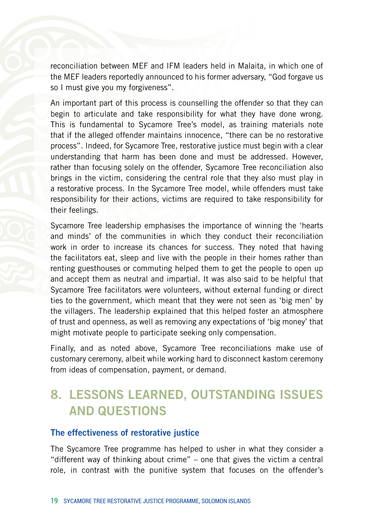reconciliation between MEF and IFM leaders held in Malaita, in which one of the MEF leaders reportedly announced to his former adversary, "God forgave us so I must give you my forgiveness".

An important part of this process is counselling the offender so that they can begin to articulate and take responsibility for what they have done wrong. This is fundamental to Sycamore Tree's model, as training materials note that if the alleged offender maintains innocence, "there can be no restorative process". Indeed, for Sycamore Tree, restorative justice must begin with a clear understanding that harm has been done and must be addressed. However, rather than focusing solely on the offender, Sycamore Tree reconciliation also brings in the victim, considering the central role that they also must play in a restorative process. In the Sycamore Tree model, while offenders must take responsibility for their actions, victims are required to take responsibility for their feelings.

Sycamore Tree leadership emphasises the importance of winning the 'hearts and minds' of the communities in which they conduct their reconciliation work in order to increase its chances for success. They noted that having the facilitators eat, sleep and live with the people in their homes rather than renting guesthouses or commuting helped them to get the people to open up and accept them as neutral and impartial. It was also said to be helpful that Sycamore Tree facilitators were volunteers, without external funding or direct ties to the government, which meant that they were not seen as 'big men' by the villagers. The leadership explained that this helped foster an atmosphere of trust and openness, as well as removing any expectations of 'big money' that might motivate people to participate seeking only compensation.

Finally, and as noted above, Sycamore Tree reconciliations make use of customary ceremony, albeit while working hard to disconnect kastom ceremony from ideas of compensation, payment, or demand.

## **8. LESSONS LEARNED, OUTSTANDING ISSUES AND QUESTIONS**

#### **The effectiveness of restorative justice**

The Sycamore Tree programme has helped to usher in what they consider a "different way of thinking about crime" – one that gives the victim a central role, in contrast with the punitive system that focuses on the offender's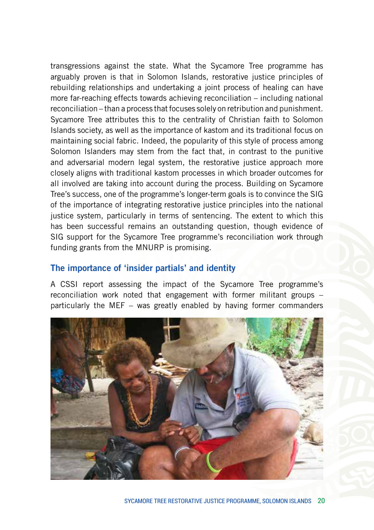transgressions against the state. What the Sycamore Tree programme has arguably proven is that in Solomon Islands, restorative justice principles of rebuilding relationships and undertaking a joint process of healing can have more far-reaching effects towards achieving reconciliation – including national reconciliation – than a process that focuses solely on retribution and punishment. Sycamore Tree attributes this to the centrality of Christian faith to Solomon Islands society, as well as the importance of kastom and its traditional focus on maintaining social fabric. Indeed, the popularity of this style of process among Solomon Islanders may stem from the fact that, in contrast to the punitive and adversarial modern legal system, the restorative justice approach more closely aligns with traditional kastom processes in which broader outcomes for all involved are taking into account during the process. Building on Sycamore Tree's success, one of the programme's longer-term goals is to convince the SIG of the importance of integrating restorative justice principles into the national justice system, particularly in terms of sentencing. The extent to which this has been successful remains an outstanding question, though evidence of SIG support for the Sycamore Tree programme's reconciliation work through funding grants from the MNURP is promising.

#### **The importance of 'insider partials' and identity**

A CSSI report assessing the impact of the Sycamore Tree programme's reconciliation work noted that engagement with former militant groups – particularly the MEF – was greatly enabled by having former commanders

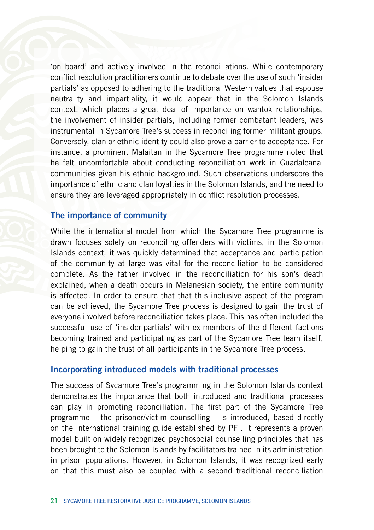'on board' and actively involved in the reconciliations. While contemporary conflict resolution practitioners continue to debate over the use of such 'insider partials' as opposed to adhering to the traditional Western values that espouse neutrality and impartiality, it would appear that in the Solomon Islands context, which places a great deal of importance on wantok relationships, the involvement of insider partials, including former combatant leaders, was instrumental in Sycamore Tree's success in reconciling former militant groups. Conversely, clan or ethnic identity could also prove a barrier to acceptance. For instance, a prominent Malaitan in the Sycamore Tree programme noted that he felt uncomfortable about conducting reconciliation work in Guadalcanal communities given his ethnic background. Such observations underscore the importance of ethnic and clan loyalties in the Solomon Islands, and the need to ensure they are leveraged appropriately in conflict resolution processes.

#### **The importance of community**

While the international model from which the Sycamore Tree programme is drawn focuses solely on reconciling offenders with victims, in the Solomon Islands context, it was quickly determined that acceptance and participation of the community at large was vital for the reconciliation to be considered complete. As the father involved in the reconciliation for his son's death explained, when a death occurs in Melanesian society, the entire community is affected. In order to ensure that that this inclusive aspect of the program can be achieved, the Sycamore Tree process is designed to gain the trust of everyone involved before reconciliation takes place. This has often included the successful use of 'insider-partials' with ex-members of the different factions becoming trained and participating as part of the Sycamore Tree team itself, helping to gain the trust of all participants in the Sycamore Tree process.

#### **Incorporating introduced models with traditional processes**

The success of Sycamore Tree's programming in the Solomon Islands context demonstrates the importance that both introduced and traditional processes can play in promoting reconciliation. The first part of the Sycamore Tree programme – the prisoner/victim counselling – is introduced, based directly on the international training guide established by PFI. It represents a proven model built on widely recognized psychosocial counselling principles that has been brought to the Solomon Islands by facilitators trained in its administration in prison populations. However, in Solomon Islands, it was recognized early on that this must also be coupled with a second traditional reconciliation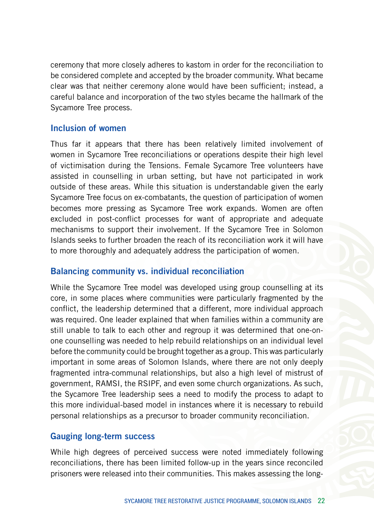ceremony that more closely adheres to kastom in order for the reconciliation to be considered complete and accepted by the broader community. What became clear was that neither ceremony alone would have been sufficient; instead, a careful balance and incorporation of the two styles became the hallmark of the Sycamore Tree process.

#### **Inclusion of women**

Thus far it appears that there has been relatively limited involvement of women in Sycamore Tree reconciliations or operations despite their high level of victimisation during the Tensions. Female Sycamore Tree volunteers have assisted in counselling in urban setting, but have not participated in work outside of these areas. While this situation is understandable given the early Sycamore Tree focus on ex-combatants, the question of participation of women becomes more pressing as Sycamore Tree work expands. Women are often excluded in post-conflict processes for want of appropriate and adequate mechanisms to support their involvement. If the Sycamore Tree in Solomon Islands seeks to further broaden the reach of its reconciliation work it will have to more thoroughly and adequately address the participation of women.

#### **Balancing community vs. individual reconciliation**

While the Sycamore Tree model was developed using group counselling at its core, in some places where communities were particularly fragmented by the conflict, the leadership determined that a different, more individual approach was required. One leader explained that when families within a community are still unable to talk to each other and regroup it was determined that one-onone counselling was needed to help rebuild relationships on an individual level before the community could be brought together as a group. This was particularly important in some areas of Solomon Islands, where there are not only deeply fragmented intra-communal relationships, but also a high level of mistrust of government, RAMSI, the RSIPF, and even some church organizations. As such, the Sycamore Tree leadership sees a need to modify the process to adapt to this more individual-based model in instances where it is necessary to rebuild personal relationships as a precursor to broader community reconciliation.

#### **Gauging long-term success**

While high degrees of perceived success were noted immediately following reconciliations, there has been limited follow-up in the years since reconciled prisoners were released into their communities. This makes assessing the long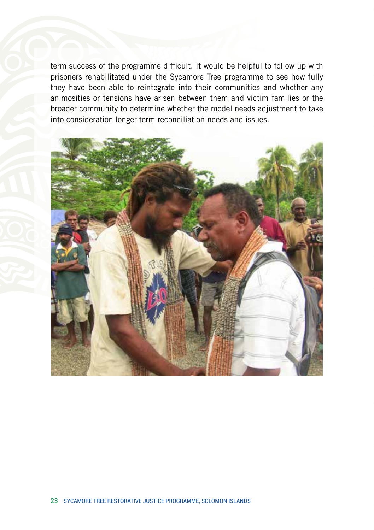term success of the programme difficult. It would be helpful to follow up with prisoners rehabilitated under the Sycamore Tree programme to see how fully they have been able to reintegrate into their communities and whether any animosities or tensions have arisen between them and victim families or the broader community to determine whether the model needs adjustment to take into consideration longer-term reconciliation needs and issues.

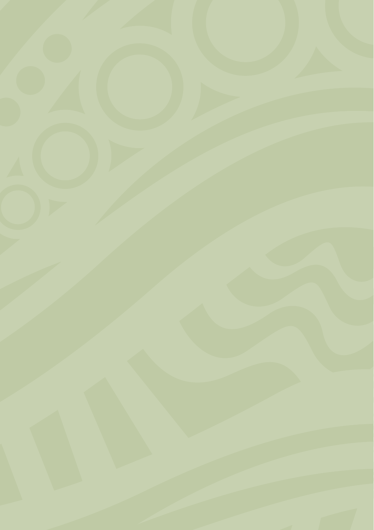